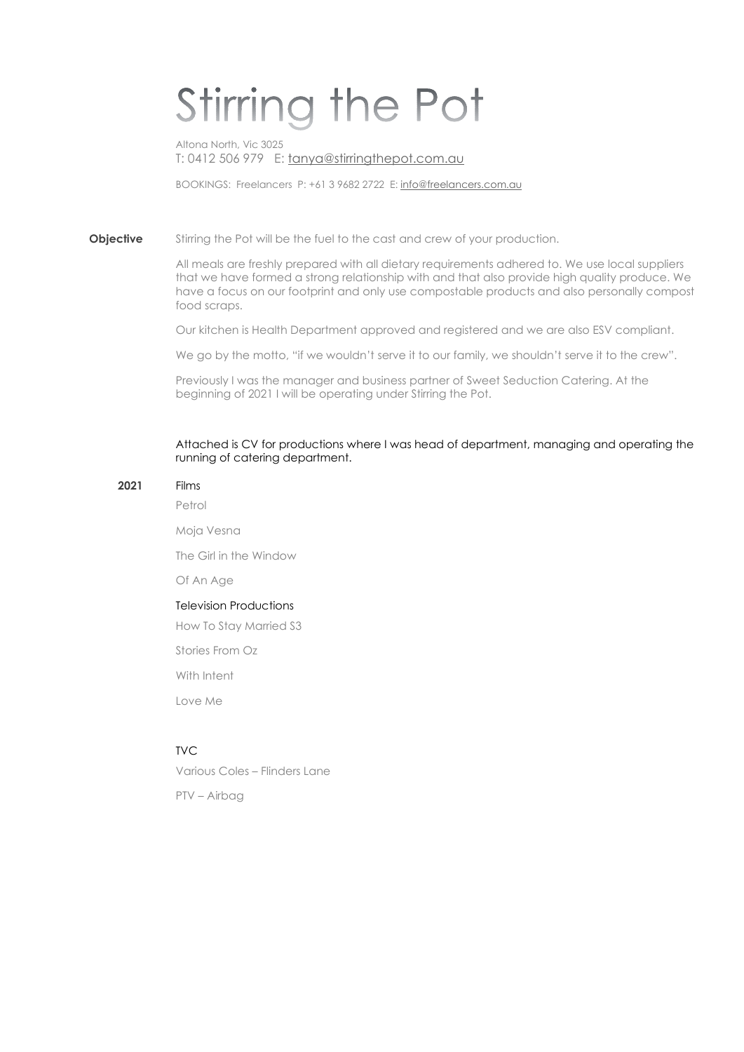# Stirring the Pot

Altona North, Vic 3025 T: 0412 506 979 E: tanya@stirringthepot.com.au

BOOKINGS: Freelancers P: +61 3 9682 2722 E: info@freelancers.com.au

**Objective** Stirring the Pot will be the fuel to the cast and crew of your production.

All meals are freshly prepared with all dietary requirements adhered to. We use local suppliers that we have formed a strong relationship with and that also provide high quality produce. We have a focus on our footprint and only use compostable products and also personally compost food scraps.

Our kitchen is Health Department approved and registered and we are also ESV compliant.

We go by the motto, "if we wouldn't serve it to our family, we shouldn't serve it to the crew".

Previously I was the manager and business partner of Sweet Seduction Catering. At the beginning of 2021 I will be operating under Stirring the Pot.

#### Attached is CV for productions where I was head of department, managing and operating the running of catering department.

#### 2021 Films

Petrol

Moja Vesna

The Girl in the Window

Of An Age

#### Television Productions

How To Stay Married S3

Stories From Oz

With Intent

Love Me

### TVC

Various Coles – Flinders Lane

PTV – Airbag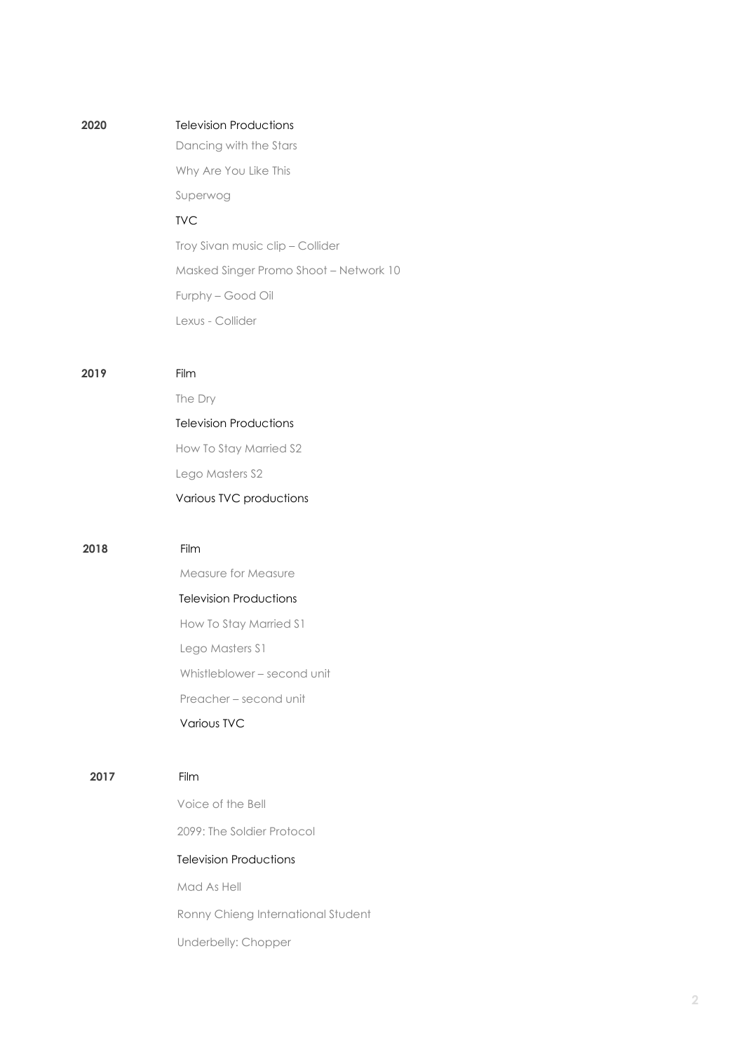| 2020 | <b>Television Productions</b>          |
|------|----------------------------------------|
|      | Dancing with the Stars                 |
|      | Why Are You Like This<br>Superwog      |
|      | <b>TVC</b>                             |
|      | Troy Sivan music clip - Collider       |
|      | Masked Singer Promo Shoot - Network 10 |
|      | Furphy - Good Oil                      |
|      | Lexus - Collider                       |
|      |                                        |
| 2019 | Film                                   |
|      | The Dry                                |
|      | <b>Television Productions</b>          |
|      | How To Stay Married S2                 |
|      | Lego Masters S2                        |
|      | Various TVC productions                |
|      |                                        |
| 2018 | Film                                   |
|      | Measure for Measure                    |
|      | <b>Television Productions</b>          |
|      | How To Stay Married S1                 |
|      | Lego Masters S1                        |
|      | Whistleblower - second unit            |
|      | Preacher – second unit                 |
|      | <b>Various TVC</b>                     |
|      |                                        |
| 2017 | Film                                   |
|      | Voice of the Bell                      |
|      | 2099: The Soldier Protocol             |
|      |                                        |
|      | <b>Television Productions</b>          |
|      | Mad As Hell                            |
|      | Ronny Chieng International Student     |
|      | Underbelly: Chopper                    |